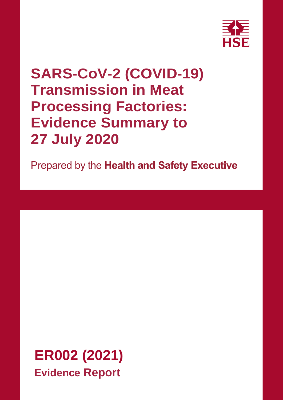

# **SARS-CoV-2 (COVID-19) Transmission in Meat Processing Factories: Evidence Summary to 27 July 2020**

Prepared by the **Health and Safety Executive**

**ER002 (2021) Evidence Report**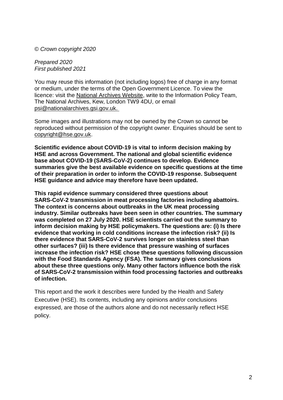© *Crown copyright 2020*

*Prepared 2020 First published 2021*

You may reuse this information (not including logos) free of charge in any format or medium, under the terms of the Open Government Licence. To view the licence: visit the [National Archives Website,](http://www.nationalarchives.gov.uk/doc/open-government-licence/) write to the Information Policy Team, The National Archives, Kew, London TW9 4DU, or email [psi@nationalarchives.gsi.gov.uk.](mailto:psi@nationalarchives.gsi.gov.uk)

Some images and illustrations may not be owned by the Crown so cannot be reproduced without permission of the copyright owner. Enquiries should be sent to [copyright@hse.gov.uk.](mailto:copyright@hse.gsi.gov.uk)

**Scientific evidence about COVID-19 is vital to inform decision making by HSE and across Government. The national and global scientific evidence base about COVID-19 (SARS-CoV-2) continues to develop. Evidence summaries give the best available evidence on specific questions at the time of their preparation in order to inform the COVID-19 response. Subsequent HSE guidance and advice may therefore have been updated.**

**This rapid evidence summary considered three questions about SARS-CoV-2 transmission in meat processing factories including abattoirs. The context is concerns about outbreaks in the UK meat processing industry. Similar outbreaks have been seen in other countries. The summary was completed on 27 July 2020. HSE scientists carried out the summary to inform decision making by HSE policymakers. The questions are: (i) Is there evidence that working in cold conditions increase the infection risk? (ii) Is there evidence that SARS-CoV-2 survives longer on stainless steel than other surfaces? (iii) Is there evidence that pressure washing of surfaces increase the infection risk? HSE chose these questions following discussion with the Food Standards Agency (FSA). The summary gives conclusions about these three questions only. Many other factors influence both the risk of SARS-CoV-2 transmission within food processing factories and outbreaks of infection.**

This report and the work it describes were funded by the Health and Safety Executive (HSE). Its contents, including any opinions and/or conclusions expressed, are those of the authors alone and do not necessarily reflect HSE policy.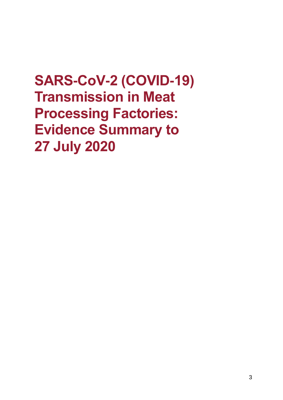# **SARS-CoV-2 (COVID-19) Transmission in Meat Processing Factories: Evidence Summary to 27 July 2020**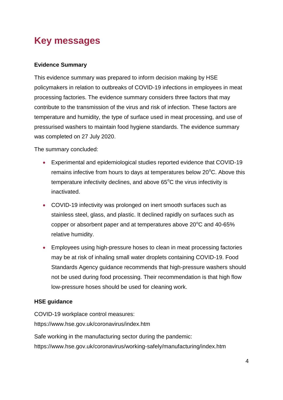# <span id="page-3-0"></span>**Key messages**

#### **Evidence Summary**

This evidence summary was prepared to inform decision making by HSE policymakers in relation to outbreaks of COVID-19 infections in employees in meat processing factories. The evidence summary considers three factors that may contribute to the transmission of the virus and risk of infection. These factors are temperature and humidity, the type of surface used in meat processing, and use of pressurised washers to maintain food hygiene standards. The evidence summary was completed on 27 July 2020.

The summary concluded:

- Experimental and epidemiological studies reported evidence that COVID-19 remains infective from hours to days at temperatures below  $20^{\circ}$ C. Above this temperature infectivity declines, and above  $65^{\circ}$ C the virus infectivity is inactivated.
- COVID-19 infectivity was prolonged on inert smooth surfaces such as stainless steel, glass, and plastic. It declined rapidly on surfaces such as copper or absorbent paper and at temperatures above  $20^{\circ}$ C and 40-65% relative humidity.
- Employees using high-pressure hoses to clean in meat processing factories may be at risk of inhaling small water droplets containing COVID-19. Food Standards Agency guidance recommends that high-pressure washers should not be used during food processing. Their recommendation is that high flow low-pressure hoses should be used for cleaning work.

#### **HSE guidance**

COVID-19 workplace control measures: https://www.hse.gov.uk/coronavirus/index.htm

Safe working in the manufacturing sector during the pandemic: https://www.hse.gov.uk/coronavirus/working-safely/manufacturing/index.htm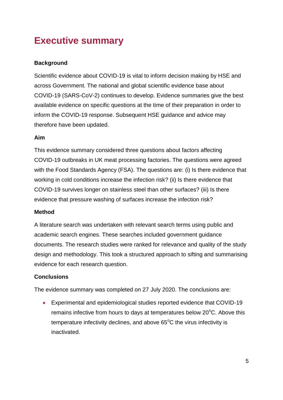# <span id="page-4-0"></span>**Executive summary**

#### **Background**

Scientific evidence about COVID-19 is vital to inform decision making by HSE and across Government. The national and global scientific evidence base about COVID-19 (SARS-CoV-2) continues to develop. Evidence summaries give the best available evidence on specific questions at the time of their preparation in order to inform the COVID-19 response. Subsequent HSE guidance and advice may therefore have been updated.

#### **Aim**

This evidence summary considered three questions about factors affecting COVID-19 outbreaks in UK meat processing factories. The questions were agreed with the Food Standards Agency (FSA). The questions are: (i) Is there evidence that working in cold conditions increase the infection risk? (ii) Is there evidence that COVID-19 survives longer on stainless steel than other surfaces? (iii) Is there evidence that pressure washing of surfaces increase the infection risk?

#### **Method**

A literature search was undertaken with relevant search terms using public and academic search engines. These searches included government guidance documents. The research studies were ranked for relevance and quality of the study design and methodology. This took a structured approach to sifting and summarising evidence for each research question.

#### **Conclusions**

The evidence summary was completed on 27 July 2020. The conclusions are:

 Experimental and epidemiological studies reported evidence that COVID-19 remains infective from hours to days at temperatures below  $20^{\circ}$ C. Above this temperature infectivity declines, and above  $65^{\circ}$ C the virus infectivity is inactivated.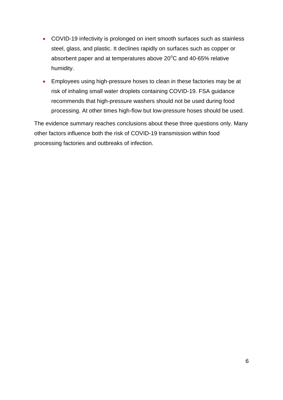- COVID-19 infectivity is prolonged on inert smooth surfaces such as stainless steel, glass, and plastic. It declines rapidly on surfaces such as copper or absorbent paper and at temperatures above  $20^{\circ}$ C and 40-65% relative humidity.
- Employees using high-pressure hoses to clean in these factories may be at risk of inhaling small water droplets containing COVID-19. FSA guidance recommends that high-pressure washers should not be used during food processing. At other times high-flow but low-pressure hoses should be used.

The evidence summary reaches conclusions about these three questions only. Many other factors influence both the risk of COVID-19 transmission within food processing factories and outbreaks of infection.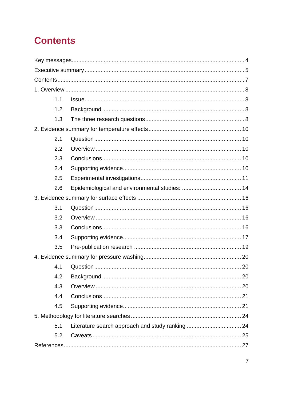# <span id="page-6-0"></span>**Contents**

| 1.1 |  |  |  |  |  |
|-----|--|--|--|--|--|
| 1.2 |  |  |  |  |  |
| 1.3 |  |  |  |  |  |
|     |  |  |  |  |  |
| 2.1 |  |  |  |  |  |
| 2.2 |  |  |  |  |  |
| 2.3 |  |  |  |  |  |
| 2.4 |  |  |  |  |  |
| 2.5 |  |  |  |  |  |
| 2.6 |  |  |  |  |  |
|     |  |  |  |  |  |
| 3.1 |  |  |  |  |  |
| 3.2 |  |  |  |  |  |
| 3.3 |  |  |  |  |  |
| 3.4 |  |  |  |  |  |
| 3.5 |  |  |  |  |  |
|     |  |  |  |  |  |
| 4.1 |  |  |  |  |  |
| 4.2 |  |  |  |  |  |
| 4.3 |  |  |  |  |  |
| 4.4 |  |  |  |  |  |
| 4.5 |  |  |  |  |  |
|     |  |  |  |  |  |
| 5.1 |  |  |  |  |  |
| 5.2 |  |  |  |  |  |
|     |  |  |  |  |  |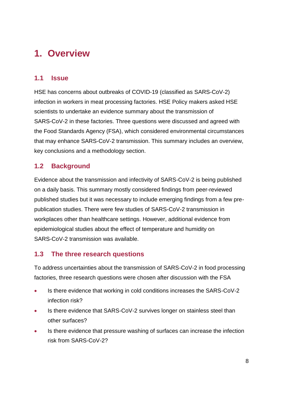# <span id="page-7-0"></span>**1. Overview**

### <span id="page-7-1"></span>**1.1 Issue**

HSE has concerns about outbreaks of COVID-19 (classified as SARS-CoV-2) infection in workers in meat processing factories. HSE Policy makers asked HSE scientists to undertake an evidence summary about the transmission of SARS-CoV-2 in these factories. Three questions were discussed and agreed with the Food Standards Agency (FSA), which considered environmental circumstances that may enhance SARS-CoV-2 transmission. This summary includes an overview, key conclusions and a methodology section.

# <span id="page-7-2"></span>**1.2 Background**

Evidence about the transmission and infectivity of SARS-CoV-2 is being published on a daily basis. This summary mostly considered findings from peer-reviewed published studies but it was necessary to include emerging findings from a few prepublication studies. There were few studies of SARS-CoV-2 transmission in workplaces other than healthcare settings. However, additional evidence from epidemiological studies about the effect of temperature and humidity on SARS-CoV-2 transmission was available.

### <span id="page-7-3"></span>**1.3 The three research questions**

To address uncertainties about the transmission of SARS-CoV-2 in food processing factories, three research questions were chosen after discussion with the FSA

- Is there evidence that working in cold conditions increases the SARS-CoV-2 infection risk?
- Is there evidence that SARS-CoV-2 survives longer on stainless steel than other surfaces?
- Is there evidence that pressure washing of surfaces can increase the infection risk from SARS-CoV-2?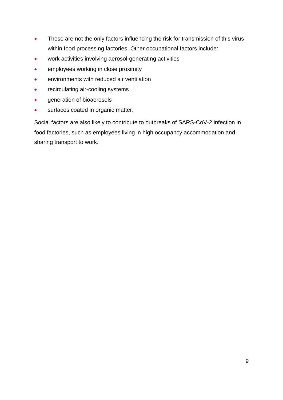- These are not the only factors influencing the risk for transmission of this virus within food processing factories. Other occupational factors include:
- work activities involving aerosol-generating activities
- **•** employees working in close proximity
- environments with reduced air ventilation
- recirculating air-cooling systems
- **•** generation of bioaerosols
- **surfaces coated in organic matter.**

Social factors are also likely to contribute to outbreaks of SARS-CoV-2 infection in food factories, such as employees living in high occupancy accommodation and sharing transport to work.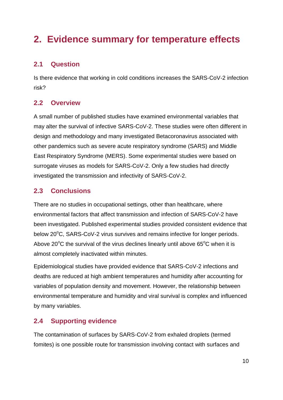# <span id="page-9-0"></span>**2. Evidence summary for temperature effects**

# <span id="page-9-1"></span>**2.1 Question**

Is there evidence that working in cold conditions increases the SARS-CoV-2 infection risk?

### <span id="page-9-2"></span>**2.2 Overview**

A small number of published studies have examined environmental variables that may alter the survival of infective SARS-CoV-2. These studies were often different in design and methodology and many investigated Betacoronavirus associated with other pandemics such as severe acute respiratory syndrome (SARS) and Middle East Respiratory Syndrome (MERS). Some experimental studies were based on surrogate viruses as models for SARS-CoV-2. Only a few studies had directly investigated the transmission and infectivity of SARS-CoV-2.

# <span id="page-9-3"></span>**2.3 Conclusions**

There are no studies in occupational settings, other than healthcare, where environmental factors that affect transmission and infection of SARS-CoV-2 have been investigated. Published experimental studies provided consistent evidence that below  $20^{\circ}$ C, SARS-CoV-2 virus survives and remains infective for longer periods. Above 20 $\mathrm{^{\circ}C}$  the survival of the virus declines linearly until above 65 $\mathrm{^{\circ}C}$  when it is almost completely inactivated within minutes.

Epidemiological studies have provided evidence that SARS-CoV-2 infections and deaths are reduced at high ambient temperatures and humidity after accounting for variables of population density and movement. However, the relationship between environmental temperature and humidity and viral survival is complex and influenced by many variables.

# <span id="page-9-4"></span>**2.4 Supporting evidence**

The contamination of surfaces by SARS-CoV-2 from exhaled droplets (termed fomites) is one possible route for transmission involving contact with surfaces and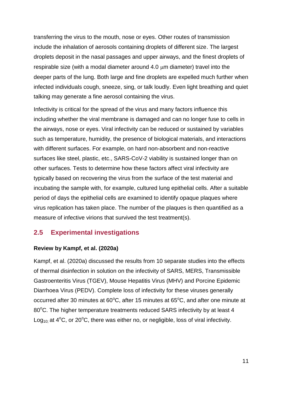transferring the virus to the mouth, nose or eyes. Other routes of transmission include the inhalation of aerosols containing droplets of different size. The largest droplets deposit in the nasal passages and upper airways, and the finest droplets of respirable size (with a modal diameter around  $4.0 \mu m$  diameter) travel into the deeper parts of the lung. Both large and fine droplets are expelled much further when infected individuals cough, sneeze, sing, or talk loudly. Even light breathing and quiet talking may generate a fine aerosol containing the virus.

Infectivity is critical for the spread of the virus and many factors influence this including whether the viral membrane is damaged and can no longer fuse to cells in the airways, nose or eyes. Viral infectivity can be reduced or sustained by variables such as temperature, humidity, the presence of biological materials, and interactions with different surfaces. For example, on hard non-absorbent and non-reactive surfaces like steel, plastic, etc., SARS-CoV-2 viability is sustained longer than on other surfaces. Tests to determine how these factors affect viral infectivity are typically based on recovering the virus from the surface of the test material and incubating the sample with, for example, cultured lung epithelial cells. After a suitable period of days the epithelial cells are examined to identify opaque plaques where virus replication has taken place. The number of the plaques is then quantified as a measure of infective virions that survived the test treatment(s).

#### <span id="page-10-0"></span>**2.5 Experimental investigations**

#### **Review by Kampf, et al. (2020a)**

Kampf, et al. (2020a) discussed the results from 10 separate studies into the effects of thermal disinfection in solution on the infectivity of SARS, MERS, Transmissible Gastroenteritis Virus (TGEV), Mouse Hepatitis Virus (MHV) and Porcine Epidemic Diarrhoea Virus (PEDV). Complete loss of infectivity for these viruses generally occurred after 30 minutes at  $60^{\circ}$ C, after 15 minutes at  $65^{\circ}$ C, and after one minute at 80°C. The higher temperature treatments reduced SARS infectivity by at least 4 Log<sub>10</sub>; at  $4^{\circ}$ C, or 20 $^{\circ}$ C, there was either no, or negligible, loss of viral infectivity.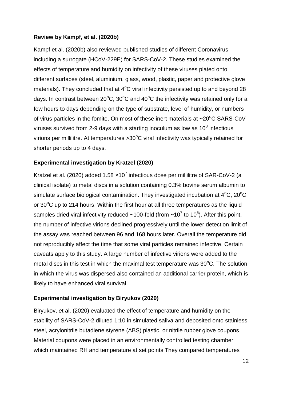#### **Review by Kampf, et al. (2020b)**

Kampf et al. (2020b) also reviewed published studies of different Coronavirus including a surrogate (HCoV-229E) for SARS-CoV-2. These studies examined the effects of temperature and humidity on infectivity of these viruses plated onto different surfaces (steel, aluminium, glass, wood, plastic, paper and protective glove materials). They concluded that at  $4^{\circ}$ C viral infectivity persisted up to and beyond 28 days. In contrast between  $20^{\circ}$ C,  $30^{\circ}$ C and  $40^{\circ}$ C the infectivity was retained only for a few hours to days depending on the type of substrate, level of humidity, or numbers of virus particles in the fomite. On most of these inert materials at  $\sim$ 20 $\degree$ C SARS-CoV viruses survived from 2-9 days with a starting inoculum as low as 10<sup>3</sup> infectious virions per millilitre. At temperatures  $>30^{\circ}$ C viral infectivity was typically retained for shorter periods up to 4 days.

#### **Experimental investigation by Kratzel (2020)**

Kratzel et al. (2020) added 1.58  $\times$ 10<sup>7</sup> infectious dose per millilitre of SAR-CoV-2 (a clinical isolate) to metal discs in a solution containing 0.3% bovine serum albumin to simulate surface biological contamination. They investigated incubation at  $4^{\circ}$ C,  $20^{\circ}$ C or  $30^{\circ}$ C up to 214 hours. Within the first hour at all three temperatures as the liquid samples dried viral infectivity reduced ~100-fold (from ~10<sup>7</sup> to 10<sup>5</sup>). After this point, the number of infective virions declined progressively until the lower detection limit of the assay was reached between 96 and 168 hours later. Overall the temperature did not reproducibly affect the time that some viral particles remained infective. Certain caveats apply to this study. A large number of infective virions were added to the metal discs in this test in which the maximal test temperature was  $30^{\circ}$ C. The solution in which the virus was dispersed also contained an additional carrier protein, which is likely to have enhanced viral survival.

#### **Experimental investigation by Biryukov (2020)**

Biryukov, *e*t al. (2020) evaluated the effect of temperature and humidity on the stability of SARS-CoV-2 diluted 1:10 in simulated saliva and deposited onto stainless steel, acrylonitrile butadiene styrene (ABS) plastic, or nitrile rubber glove coupons. Material coupons were placed in an environmentally controlled testing chamber which maintained RH and temperature at set points They compared temperatures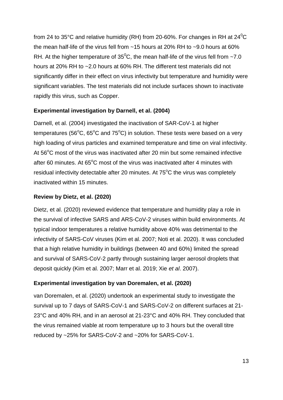from 24 to 35°C and relative humidity (RH) from 20-60%. For changes in RH at  $24^{\circ}$ C the mean half-life of the virus fell from  $\sim$  15 hours at 20% RH to  $\sim$  9.0 hours at 60% RH. At the higher temperature of  $35^0$ C, the mean half-life of the virus fell from  $\sim$ 7.0 hours at 20% RH to ~2.0 hours at 60% RH. The different test materials did not significantly differ in their effect on virus infectivity but temperature and humidity were significant variables. The test materials did not include surfaces shown to inactivate rapidly this virus, such as Copper.

#### **Experimental investigation by Darnell, et al. (2004)**

Darnell, et al. (2004) investigated the inactivation of SAR-CoV-1 at higher temperatures (56 $^{\circ}$ C, 65 $^{\circ}$ C and 75 $^{\circ}$ C) in solution. These tests were based on a very high loading of virus particles and examined temperature and time on viral infectivity. At  $56^{\circ}$ C most of the virus was inactivated after 20 min but some remained infective after 60 minutes. At  $65^{\circ}$ C most of the virus was inactivated after 4 minutes with residual infectivity detectable after 20 minutes. At  $75^{\circ}$ C the virus was completely inactivated within 15 minutes.

#### **Review by Dietz, et al. (2020)**

Dietz, et al. (2020) reviewed evidence that temperature and humidity play a role in the survival of infective SARS and ARS-CoV-2 viruses within build environments. At typical indoor temperatures a relative humidity above 40% was detrimental to the infectivity of SARS-CoV viruses (Kim et al. 2007; Noti et al. 2020). It was concluded that a high relative humidity in buildings (between 40 and 60%) limited the spread and survival of SARS-CoV-2 partly through sustaining larger aerosol droplets that deposit quickly (Kim et al. 2007; Marr et al. 2019; Xie *et al*. 2007).

#### **Experimental investigation by van Doremalen, et al. (2020)**

van Doremalen, et al. (2020) undertook an experimental study to investigate the survival up to 7 days of SARS-CoV-1 and SARS-CoV-2 on different surfaces at 21- 23°C and 40% RH, and in an aerosol at 21-23°C and 40% RH. They concluded that the virus remained viable at room temperature up to 3 hours but the overall titre reduced by ~25% for SARS-CoV-2 and ~20% for SARS-CoV-1.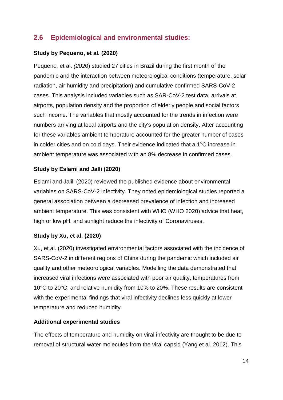# <span id="page-13-0"></span>**2.6 Epidemiological and environmental studies:**

#### **Study by Pequeno, et al. (2020)**

Pequen*o,* et al. *(202*0) studied 27 cities in Brazil during the first month of the pandemic and the interaction between meteorological conditions (temperature, solar radiation, air humidity and precipitation) and cumulative confirmed SARS-CoV-2 cases. This analysis included variables such as SAR-CoV-2 test data, arrivals at airports, population density and the proportion of elderly people and social factors such income. The variables that mostly accounted for the trends in infection were numbers arriving at local airports and the city's population density. After accounting for these variables ambient temperature accounted for the greater number of cases in colder cities and on cold days. Their evidence indicated that a  $1^{\circ}$ C increase in ambient temperature was associated with an 8% decrease in confirmed cases.

#### **Study by Eslami and Jalli (2020)**

Eslami and Jalili (2020) reviewed the published evidence about environmental variables on SARS-CoV-2 infectivity. They noted epidemiological studies reported a general association between a decreased prevalence of infection and increased ambient temperature. This was consistent with WHO (WHO 2020) advice that heat, high or low pH, and sunlight reduce the infectivity of Coronaviruses.

#### **Study by Xu, et al, (2020)**

Xu, et al. (2020) investigated environmental factors associated with the incidence of SARS-CoV-2 in different regions of China during the pandemic which included air quality and other meteorological variables. Modelling the data demonstrated that increased viral infections were associated with poor air quality, temperatures from 10°C to 20°C, and relative humidity from 10% to 20%. These results are consistent with the experimental findings that viral infectivity declines less quickly at lower temperature and reduced humidity.

#### **Additional experimental studies**

The effects of temperature and humidity on viral infectivity are thought to be due to removal of structural water molecules from the viral capsid (Yang et al. 2012). This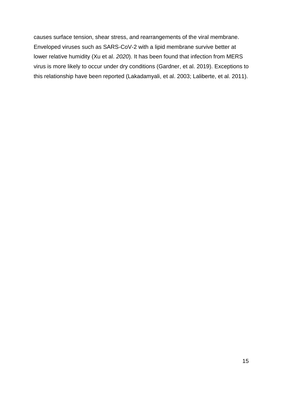causes surface tension, shear stress, and rearrangements of the viral membrane. Enveloped viruses such as SARS-CoV-2 with a lipid membrane survive better at lower relative humidity (Xu et al. *2020*). It has been found that infection from MERS virus is more likely to occur under dry conditions (Gardner, et al. 2019). Exceptions to this relationship have been reported (Lakadamyali, et al. 2003; Laliberte, et al. 2011).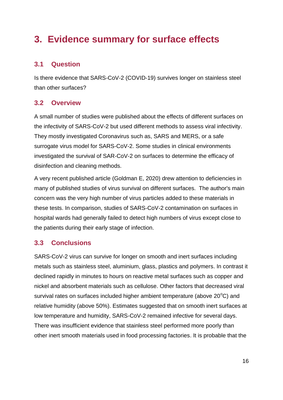# <span id="page-15-0"></span>**3. Evidence summary for surface effects**

### <span id="page-15-1"></span>**3.1 Question**

Is there evidence that SARS-CoV-2 (COVID-19) survives longer on stainless steel than other surfaces?

#### <span id="page-15-2"></span>**3.2 Overview**

A small number of studies were published about the effects of different surfaces on the infectivity of SARS-CoV-2 but used different methods to assess viral infectivity. They mostly investigated Coronavirus such as, SARS and MERS, or a safe surrogate virus model for SARS-CoV-2. Some studies in clinical environments investigated the survival of SAR-CoV-2 on surfaces to determine the efficacy of disinfection and cleaning methods.

A very recent published article (Goldman E, 2020) drew attention to deficiencies in many of published studies of virus survival on different surfaces. The author's main concern was the very high number of virus particles added to these materials in these tests. In comparison, studies of SARS-CoV-2 contamination on surfaces in hospital wards had generally failed to detect high numbers of virus except close to the patients during their early stage of infection.

### <span id="page-15-3"></span>**3.3 Conclusions**

SARS-CoV-2 virus can survive for longer on smooth and inert surfaces including metals such as stainless steel, aluminium, glass, plastics and polymers. In contrast it declined rapidly in minutes to hours on reactive metal surfaces such as copper and nickel and absorbent materials such as cellulose. Other factors that decreased viral survival rates on surfaces included higher ambient temperature (above  $20^{\circ}$ C) and relative humidity (above 50%). Estimates suggested that on smooth inert surfaces at low temperature and humidity, SARS-CoV-2 remained infective for several days. There was insufficient evidence that stainless steel performed more poorly than other inert smooth materials used in food processing factories. It is probable that the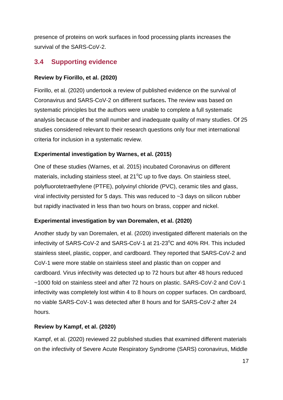presence of proteins on work surfaces in food processing plants increases the survival of the SARS-CoV-2.

### <span id="page-16-0"></span>**3.4 Supporting evidence**

#### **Review by Fiorillo, et al. (2020)**

Fiorillo, et al. (2020) undertook a review of published evidence on the survival of Coronavirus and SARS-CoV-2 on different surfaces**.** The review was based on systematic principles but the authors were unable to complete a full systematic analysis because of the small number and inadequate quality of many studies. Of 25 studies considered relevant to their research questions only four met international criteria for inclusion in a systematic review.

#### **Experimental investigation by Warnes, et al. (2015)**

One of these studies (Warnes, et al. 2015) incubated Coronavirus on different materials, including stainless steel, at  $21^{\circ}$ C up to five days. On stainless steel, polyfluorotetraethylene (PTFE), polyvinyl chloride (PVC), ceramic tiles and glass, viral infectivity persisted for 5 days. This was reduced to ~3 days on silicon rubber but rapidly inactivated in less than two hours on brass, copper and nickel.

#### **Experimental investigation by van Doremalen, et al. (2020)**

Another study by van Doremalen*,* et al. (2*0*20) investigated different materials on the infectivity of SARS-CoV-2 and SARS-CoV-1 at  $21\text{-}23^{\circ}$ C and 40% RH. This included stainless steel, plastic, copper, and cardboard. They reported that SARS-CoV-2 and CoV-1 were more stable on stainless steel and plastic than on copper and cardboard. Virus infectivity was detected up to 72 hours but after 48 hours reduced ~1000 fold on stainless steel and after 72 hours on plastic. SARS-CoV-2 and CoV-1 infectivity was completely lost within 4 to 8 hours on copper surfaces. On cardboard, no viable SARS-CoV-1 was detected after 8 hours and for SARS-CoV-2 after 24 hours.

#### **Review by Kampf, et al. (2020)**

Kampf, et al. (2020) reviewed 22 published studies that examined different materials on the infectivity of Severe Acute Respiratory Syndrome (SARS) coronavirus, Middle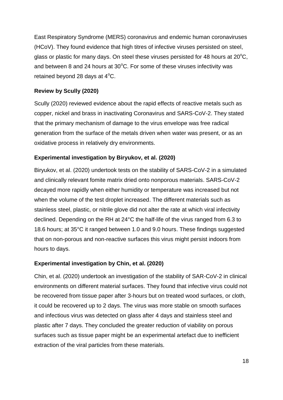East Respiratory Syndrome (MERS) coronavirus and endemic human coronaviruses (HCoV). They found evidence that high titres of infective viruses persisted on steel, glass or plastic for many days. On steel these viruses persisted for 48 hours at  $20^{\circ}$ C, and between 8 and 24 hours at  $30^{\circ}$ C. For some of these viruses infectivity was retained beyond 28 days at  $4^{\circ}$ C.

#### **Review by Scully (2020)**

Scully (2020) reviewed evidence about the rapid effects of reactive metals such as copper, nickel and brass in inactivating Coronavirus and SARS-CoV-2. They stated that the primary mechanism of damage to the virus envelope was free radical generation from the surface of the metals driven when water was present, or as an oxidative process in relatively dry environments.

#### **Experimental investigation by Biryukov, et al. (2020)**

Biryukov, et al. (2020) undertook tests on the stability of SARS-CoV-2 in a simulated and clinically relevant fomite matrix dried onto nonporous materials. SARS-CoV-2 decayed more rapidly when either humidity or temperature was increased but not when the volume of the test droplet increased. The different materials such as stainless steel, plastic, or nitrile glove did not alter the rate at which viral infectivity declined. Depending on the RH at 24°C the half-life of the virus ranged from 6.3 to 18.6 hours; at 35°C it ranged between 1.0 and 9.0 hours. These findings suggested that on non-porous and non-reactive surfaces this virus might persist indoors from hours to days.

#### **Experimental investigation by Chin, et al. (2020)**

Chin, et al. (2020) undertook an investigation of the stability of SAR-CoV-2 in clinical environments on different material surfaces. They found that infective virus could not be recovered from tissue paper after 3-hours but on treated wood surfaces, or cloth, it could be recovered up to 2 days. The virus was more stable on smooth surfaces and infectious virus was detected on glass after 4 days and stainless steel and plastic after 7 days. They concluded the greater reduction of viability on porous surfaces such as tissue paper might be an experimental artefact due to inefficient extraction of the viral particles from these materials.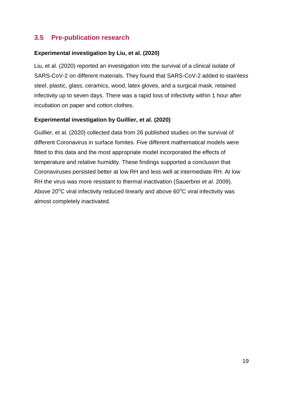# <span id="page-18-0"></span>**3.5 Pre-publication research**

#### **Experimental investigation by Liu, et al. (2020)**

Liu, et al. (2020) reported an investigation into the survival of a clinical isolate of SARS-CoV-2 on different materials. They found that SARS-CoV-2 added to stainless steel, plastic, glass, ceramics, wood, latex gloves, and a surgical mask, retained infectivity up to seven days. There was a rapid loss of infectivity within 1 hour after incubation on paper and cotton clothes.

#### **Experimental investigation by Guillier, et al. (2020)**

Guillier, et al. (2020) collected data from 26 published studies on the survival of different Coronavirus in surface fomites. Five different mathematical models were fitted to this data and the most appropriate model incorporated the effects of temperature and relative humidity. These findings supported a conclusion that Coronaviruses persisted better at low RH and less well at intermediate RH. At low RH the virus was more resistant to thermal inactivation (Sauerbrei *et al*. 2009). Above 20 $\mathrm{^{\circ}C}$  viral infectivity reduced linearly and above 60 $\mathrm{^{\circ}C}$  viral infectivity was almost completely inactivated.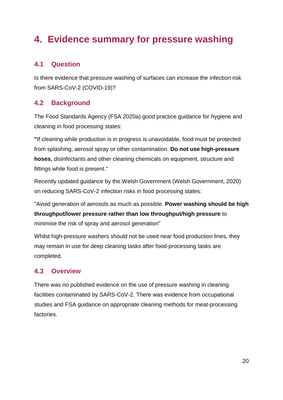# <span id="page-19-0"></span>**4. Evidence summary for pressure washing**

# <span id="page-19-1"></span>**4.1 Question**

Is there evidence that pressure washing of surfaces can increase the infection risk from SARS-CoV-2 (COVID-19)?

# <span id="page-19-2"></span>**4.2 Background**

The Food Standards Agency (FSA 2020a) good practice guidance for hygiene and cleaning in food processing states:

**"**If cleaning while production is in progress is unavoidable, food must be protected from splashing, aerosol spray or other contamination. **Do not use high-pressure hoses,** disinfectants and other cleaning chemicals on equipment, structure and fittings while food is present."

Recently updated guidance by the Welsh Government (Welsh Government, 2020) on reducing SARS-CoV-2 infection risks in food processing states:

"Avoid generation of aerosols as much as possible. **Power washing should be high throughput/lower pressure rather than low throughput/high pressure** to minimise the risk of spray and aerosol generation"

Whilst high-pressure washers should not be used near food production lines, they may remain in use for deep cleaning tasks after food-processing tasks are completed.

#### <span id="page-19-3"></span>**4.3 Overview**

There was no published evidence on the use of pressure washing in cleaning facilities contaminated by SARS-CoV-2. There was evidence from occupational studies and FSA guidance on appropriate cleaning methods for meat-processing factories.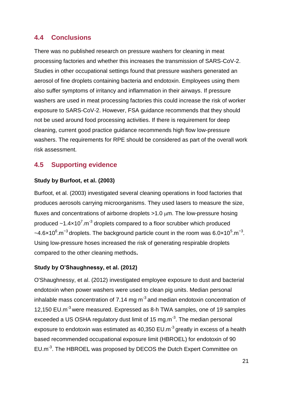# <span id="page-20-0"></span>**4.4 Conclusions**

There was no published research on pressure washers for cleaning in meat processing factories and whether this increases the transmission of SARS-CoV-2. Studies in other occupational settings found that pressure washers generated an aerosol of fine droplets containing bacteria and endotoxin. Employees using them also suffer symptoms of irritancy and inflammation in their airways. If pressure washers are used in meat processing factories this could increase the risk of worker exposure to SARS-CoV-2. However, FSA guidance recommends that they should not be used around food processing activities. If there is requirement for deep cleaning, current good practice guidance recommends high flow low-pressure washers. The requirements for RPE should be considered as part of the overall work risk assessment.

# <span id="page-20-1"></span>**4.5 Supporting evidence**

#### **Study by Burfoot, et al. (2003)**

Burfoot, et al. (2003) investigated several cleaning operations in food factories that produces aerosols carrying microorganisms. They used lasers to measure the size, fluxes and concentrations of airborne droplets  $>1.0 \mu m$ . The low-pressure hosing produced  $\sim$ 1.4 $\times$ 10<sup>7</sup>.m<sup>-3</sup> droplets compared to a floor scrubber which produced  $\sim$ 4.6×10<sup>6</sup>.m<sup>-3</sup> droplets. The background particle count in the room was 6.0×10<sup>5</sup>.m<sup>-3</sup>. Using low-pressure hoses increased the risk of generating respirable droplets compared to the other cleaning methods**.**

#### **Study by O'Shaughnessy, et al. (2012)**

O'Shaughnessy, et al. (2012) investigated employee exposure to dust and bacterial endotoxin when power washers were used to clean pig units. Median personal inhalable mass concentration of 7.14 mg  $m<sup>3</sup>$  and median endotoxin concentration of 12.150 EU.m<sup>-3</sup> were measured. Expressed as 8-h TWA samples, one of 19 samples exceeded a US OSHA regulatory dust limit of 15 mg.m $^{-3}$ . The median personal exposure to endotoxin was estimated as 40,350 EU.m<sup>-3</sup> greatly in excess of a health based recommended occupational exposure limit (HBROEL) for endotoxin of 90 EU.m<sup>-3</sup>. The HBROEL was proposed by DECOS the Dutch Expert Committee on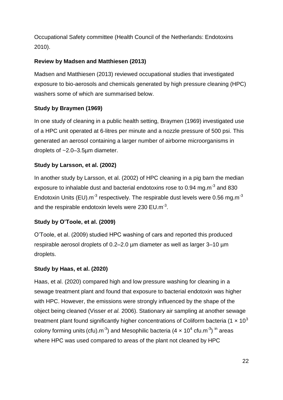Occupational Safety committee (Health Council of the Netherlands: Endotoxins 2010).

#### **Review by Madsen and Matthiesen (2013)**

Madsen and Matthiesen (2013) reviewed occupational studies that investigated exposure to bio-aerosols and chemicals generated by high pressure cleaning (HPC) washers some of which are summarised below.

#### **Study by Braymen (1969)**

In one study of cleaning in a public health setting, Braymen (1969) investigated use of a HPC unit operated at 6-litres per minute and a nozzle pressure of 500 psi. This generated an aerosol containing a larger number of airborne microorganisms in droplets of ~2.0–3.5µm diameter.

#### **Study by Larsson, et al. (2002)**

In another study by Larsson, et al. (2002) of HPC cleaning in a pig barn the median exposure to inhalable dust and bacterial endotoxins rose to 0.94 mg.m<sup>-3</sup> and 830 Endotoxin Units (EU). $m^{-3}$  respectively. The respirable dust levels were 0.56 mg.m<sup>-3</sup> and the respirable endotoxin levels were 230  $EU.m^{-3}$ .

#### **Study by O'Toole, et al. (2009)**

O'Toole, et al. (2009) studied HPC washing of cars and reported this produced respirable aerosol droplets of 0.2–2.0 µm diameter as well as larger 3–10 µm droplets.

#### **Study by Haas, et al. (2020)**

Haas, et al. (2020) compared high and low pressure washing for cleaning in a sewage treatment plant and found that exposure to bacterial endotoxin was higher with HPC. However, the emissions were strongly influenced by the shape of the object being cleaned (Visser *et al.* 2006). Stationary air sampling at another sewage treatment plant found significantly higher concentrations of Coliform bacteria (1  $\times$  10<sup>3</sup> colony forming units (cfu).m<sup>-3</sup>) and Mesophilic bacteria (4  $\times$  10<sup>4</sup> cfu.m<sup>-3</sup>) <sup>in</sup> areas where HPC was used compared to areas of the plant not cleaned by HPC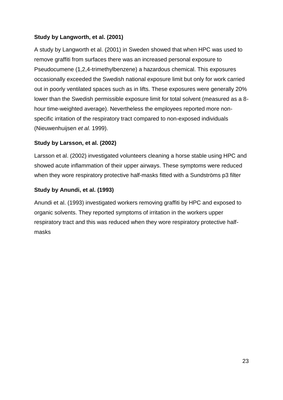#### **Study by Langworth, et al. (2001)**

A study by Langworth et al. (2001) in Sweden showed that when HPC was used to remove graffiti from surfaces there was an increased personal exposure to Pseudocumene (1,2,4-trimethylbenzene) a hazardous chemical. This exposures occasionally exceeded the Swedish national exposure limit but only for work carried out in poorly ventilated spaces such as in lifts. These exposures were generally 20% lower than the Swedish permissible exposure limit for total solvent (measured as a 8 hour time-weighted average). Nevertheless the employees reported more nonspecific irritation of the respiratory tract compared to non-exposed individuals (Nieuwenhuijsen *et al.* 1999).

#### **Study by Larsson, et al. (2002)**

Larsson et al. (2002) investigated volunteers cleaning a horse stable using HPC and showed acute inflammation of their upper airways. These symptoms were reduced when they wore respiratory protective half-masks fitted with a Sundströms p3 filter

#### **Study by Anundi, et al. (1993)**

Anundi et al. (1993) investigated workers removing graffiti by HPC and exposed to organic solvents. They reported symptoms of irritation in the workers upper respiratory tract and this was reduced when they wore respiratory protective halfmasks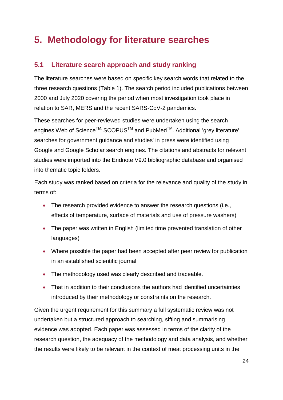# <span id="page-23-0"></span>**5. Methodology for literature searches**

# <span id="page-23-1"></span>**5.1 Literature search approach and study ranking**

The literature searches were based on specific key search words that related to the three research questions (Table 1). The search period included publications between 2000 and July 2020 covering the period when most investigation took place in relation to SAR, MERS and the recent SARS-CoV-2 pandemics.

These searches for peer-reviewed studies were undertaken using the search engines Web of Science<sup>™,</sup> SCOPUS<sup>™</sup> and PubMed<sup>™</sup>. Additional 'grey literature' searches for government guidance and studies' in press were identified using Google and Google Scholar search engines. The citations and abstracts for relevant studies were imported into the Endnote V9.0 bibliographic database and organised into thematic topic folders.

Each study was ranked based on criteria for the relevance and quality of the study in terms of:

- The research provided evidence to answer the research questions (i.e., effects of temperature, surface of materials and use of pressure washers)
- The paper was written in English (limited time prevented translation of other languages)
- Where possible the paper had been accepted after peer review for publication in an established scientific journal
- The methodology used was clearly described and traceable.
- That in addition to their conclusions the authors had identified uncertainties introduced by their methodology or constraints on the research.

Given the urgent requirement for this summary a full systematic review was not undertaken but a structured approach to searching, sifting and summarising evidence was adopted. Each paper was assessed in terms of the clarity of the research question, the adequacy of the methodology and data analysis, and whether the results were likely to be relevant in the context of meat processing units in the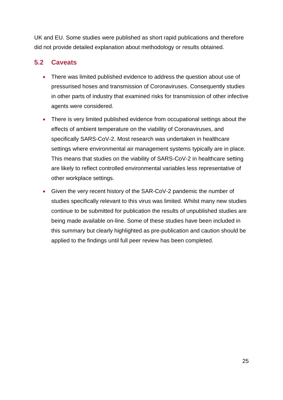UK and EU. Some studies were published as short rapid publications and therefore did not provide detailed explanation about methodology or results obtained.

# <span id="page-24-0"></span>**5.2 Caveats**

- There was limited published evidence to address the question about use of pressurised hoses and transmission of Coronaviruses. Consequently studies in other parts of industry that examined risks for transmission of other infective agents were considered.
- There is very limited published evidence from occupational settings about the effects of ambient temperature on the viability of Coronaviruses, and specifically SARS-CoV-2. Most research was undertaken in healthcare settings where environmental air management systems typically are in place. This means that studies on the viability of SARS-CoV-2 in healthcare setting are likely to reflect controlled environmental variables less representative of other workplace settings.
- Given the very recent history of the SAR-CoV-2 pandemic the number of studies specifically relevant to this virus was limited. Whilst many new studies continue to be submitted for publication the results of unpublished studies are being made available on-line. Some of these studies have been included in this summary but clearly highlighted as pre-publication and caution should be applied to the findings until full peer review has been completed.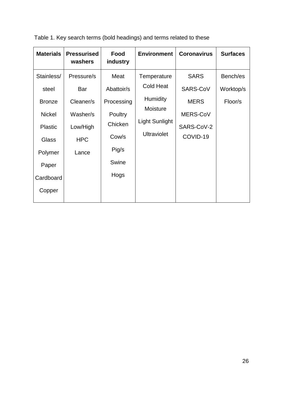| <b>Materials</b> | <b>Pressurised</b><br>washers | Food<br>industry | <b>Environment</b>                                                                | <b>Coronavirus</b> | <b>Surfaces</b> |
|------------------|-------------------------------|------------------|-----------------------------------------------------------------------------------|--------------------|-----------------|
| Stainless/       | Pressure/s                    | Meat             | Temperature                                                                       | <b>SARS</b>        | Bench/es        |
| steel            | Bar                           | Abattoir/s       | <b>Cold Heat</b>                                                                  | SARS-CoV           | Worktop/s       |
| <b>Bronze</b>    | Cleaner/s                     | Processing       | <b>Humidity</b><br><b>Moisture</b><br><b>Light Sunlight</b><br><b>Ultraviolet</b> | <b>MERS</b>        | Floor/s         |
| <b>Nickel</b>    | Washer/s                      | Poultry          |                                                                                   | MERS-CoV           |                 |
| <b>Plastic</b>   | Low/High                      | Chicken          |                                                                                   | SARS-CoV-2         |                 |
| <b>Glass</b>     | <b>HPC</b>                    | Cow/s            |                                                                                   | COVID-19           |                 |
| Polymer          | Lance                         | Pig/s            |                                                                                   |                    |                 |
| Paper            |                               | Swine            |                                                                                   |                    |                 |
| Cardboard        |                               | Hogs             |                                                                                   |                    |                 |
| Copper           |                               |                  |                                                                                   |                    |                 |
|                  |                               |                  |                                                                                   |                    |                 |

Table 1. Key search terms (bold headings) and terms related to these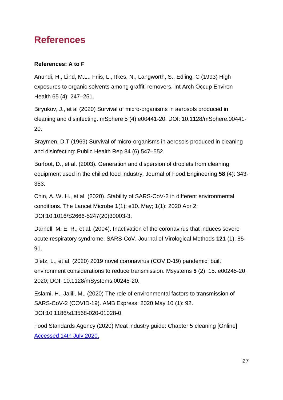# <span id="page-26-0"></span>**References**

#### **References: A to F**

Anundi, H., Lind, M.L., Friis, L., Itkes, N., Langworth, S., Edling, C (1993) High exposures to organic solvents among graffiti removers. Int Arch Occup Environ Health 65 (4): 247–251.

Biryukov, J., et al (2020) Survival of micro-organisms in aerosols produced in cleaning and disinfecting. mSphere 5 (4) e00441-20; DOI: 10.1128/mSphere.00441- 20.

Braymen, D.T (1969) Survival of micro-organisms in aerosols produced in cleaning and disinfecting: Public Health Rep 84 (6) 547–552.

Burfoot, D., et al. (2003). Generation and dispersion of droplets from cleaning equipment used in the chilled food industry. Journal of Food Engineering **58** (4): 343- 353.

Chin, A. W. H., et al. (2020). Stability of SARS-CoV-2 in different environmental conditions. The Lancet Microbe **1**(1): e10. May; 1(1): 2020 Apr 2; DOI:10.1016/S2666-5247(20)30003-3.

Darnell, M. E. R., et al. (2004). Inactivation of the coronavirus that induces severe acute respiratory syndrome, SARS-CoV. Journal of Virological Methods **121** (1): 85- 91.

Dietz, L., et al. (2020) 2019 novel coronavirus (COVID-19) pandemic: built environment considerations to reduce transmission. Msystems **5** (2): 15. e00245-20, 2020; DOI: 10.1128/mSystems.00245-20.

Eslami. H., Jalili, M,. (2020) The role of environmental factors to transmission of SARS-CoV-2 (COVID-19). AMB Express. 2020 May 10 (1): 92. DOI:10.1186/s13568-020-01028-0.

Food Standards Agency (2020) Meat industry guide: Chapter 5 cleaning [Online] [Accessed 14th July 2020.](https://www.food.gov.uk/business-guidance/meat-industry-guide)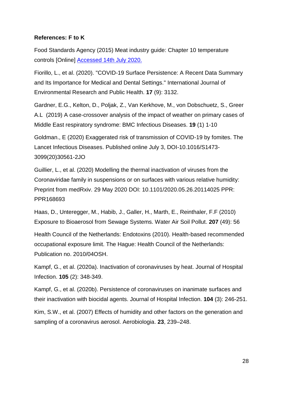#### **References: F to K**

Food Standards Agency (2015) Meat industry guide: Chapter 10 temperature controls [Online] [Accessed 14th July 2020.](https://www.food.gov.uk/business-guidance/meat-industry-guide)

Fiorillo, L., et al. (2020). "COVID-19 Surface Persistence: A Recent Data Summary and Its Importance for Medical and Dental Settings." International Journal of Environmental Research and Public Health. **17** (9): 3132.

Gardner, E.G., Kelton, D., Poljak, Z., Van Kerkhove, M., von Dobschuetz, S., Greer A.L (2019) A case-crossover analysis of the impact of weather on primary cases of Middle East respiratory syndrome: BMC Infectious Diseases. **19** (1) 1-10

Goldman., E (2020) Exaggerated risk of transmission of COVID-19 by fomites. The Lancet Infectious Diseases. Published online July 3, DOI-10.1016/S1473- 3099(20)30561-2JO

Guillier, L., et al. (2020) Modelling the thermal inactivation of viruses from the Coronaviridae family in suspensions or on surfaces with various relative humidity: Preprint from medRxiv. 29 May 2020 DOI: 10.1101/2020.05.26.20114025 PPR: PPR168693

Haas, D., Unteregger, M., Habib, J., Galler, H., Marth, E., Reinthaler, F.F (2010) Exposure to Bioaerosol from Sewage Systems. Water Air Soil Pollut. **207** (49): 56

Health Council of the Netherlands: Endotoxins (2010). Health-based recommended occupational exposure limit. The Hague: Health Council of the Netherlands: Publication no. 2010/04OSH.

Kampf, G., et al. (2020a). Inactivation of coronaviruses by heat. Journal of Hospital Infection. **105** (2): 348-349.

Kampf, G., et al. (2020b). Persistence of coronaviruses on inanimate surfaces and their inactivation with biocidal agents. Journal of Hospital Infection. **104** (3): 246-251.

Kim, S.W., et al. (2007) Effects of humidity and other factors on the generation and sampling of a coronavirus aerosol. Aerobiologia. **23**, 239–248.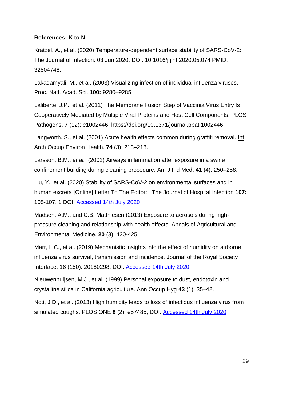#### **References: K to N**

Kratzel, A., et al. (2020) Temperature-dependent surface stability of SARS-CoV-2: The Journal of Infection. 03 Jun 2020, DOI: 10.1016/j.jinf.2020.05.074 PMID: 32504748.

Lakadamyali, M., et al. (2003) Visualizing infection of individual influenza viruses. Proc. Natl. Acad. Sci. **100:** 9280–9285.

Laliberte, J.P., et al. (2011) The Membrane Fusion Step of Vaccinia Virus Entry Is Cooperatively Mediated by Multiple Viral Proteins and Host Cell Components. PLOS Pathogens. **7** (12): e1002446. https://doi.org/10.1371/journal.ppat.1002446.

Langworth. S., et al. (2001) Acute health effects common during graffiti removal. Int Arch Occup Environ Health. **74** (3): 213–218.

Larsson, B.M., *et al.* (2002) Airways inflammation after exposure in a swine confinement building during cleaning procedure. Am J Ind Med. **41** (4): 250–258.

Liu, Y., et al. (2020) Stability of SARS-CoV-2 on environmental surfaces and in human excreta [Online] Letter To The Editor: The Journal of Hospital Infection **107:**  105-107, 1 DOI: [Accessed 14th July 2020](https://doi.org/10.1016/j.jhin.2020.10.021)

Madsen, A.M., and C.B. Matthiesen (2013) Exposure to aerosols during highpressure cleaning and relationship with health effects. Annals of Agricultural and Environmental Medicine. **20** (3): 420-425.

Marr, L.C., et al. (2019) Mechanistic insights into the effect of humidity on airborne influenza virus survival, transmission and incidence. Journal of the Royal Society Interface. 16 (150): 20180298; DOI: [Accessed 14th July 2020](https://doi.org/10.1098/rsif.2018.0298.)

Nieuwenhuijsen, M.J., et al. (1999) Personal exposure to dust, endotoxin and crystalline silica in California agriculture. Ann Occup Hyg **43** (1): 35–42.

Noti, J.D., et al. (2013) High humidity leads to loss of infectious influenza virus from simulated coughs. PLOS ONE **8** (2): e57485; DOI: [Accessed 14th July 2020](https://doi.org/10.1371/journal.pone.0057485)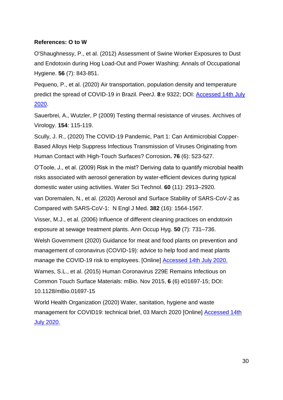#### **References: O to W**

O'Shaughnessy, P., et al. (2012) Assessment of Swine Worker Exposures to Dust and Endotoxin during Hog Load-Out and Power Washing: Annals of Occupational Hygiene. **56** (7): 843-851.

Pequeno, P., et al. (2020) Air transportation, population density and temperature predict the spread of COVID-19 in Brazil. PeerJ. **8**:e 9322; DOI: [Accessed 14th July](https://doi.org/10.7717/peerj.9322)  [2020.](https://doi.org/10.7717/peerj.9322)

Sauerbrei, A., Wutzler, P (2009) Testing thermal resistance of viruses. Archives of Virology. **154**: 115-119.

Scully, J. R., (2020) The COVID-19 Pandemic, Part 1: Can Antimicrobial Copper-Based Alloys Help Suppress Infectious Transmission of Viruses Originating from Human Contact with High-Touch Surfaces? Corrosion**. 76** (6): 523-527.

O'Toole, J., et al. (2009) Risk in the mist? Deriving data to quantify microbial health risks associated with aerosol generation by water-efficient devices during typical domestic water using activities. Water Sci Technol. **60** (11): 2913–2920.

van Doremalen, N., et al. (2020) Aerosol and Surface Stability of SARS-CoV-2 as Compared with SARS-CoV-1: N Engl J Med. **382** (16): 1564-1567.

Visser, M.J., et al. (2006) Influence of different cleaning practices on endotoxin exposure at sewage treatment plants. Ann Occup Hyg. **50** (7): 731–736.

Welsh Government (2020) Guidance for meat and food plants on prevention and management of coronavirus (COVID-19): advice to help food and meat plants manage the COVID-19 risk to employees. [Online] [Accessed 14th July 2020.](https://gov.wales/guidance-meat-and-food-plants-prevention-and-management-coronavirus-covid-19)

Warnes, S.L., et al. (2015) Human Coronavirus 229E Remains Infectious on Common Touch Surface Materials: mBio. Nov 2015, **6** (6) e01697-15; DOI: 10.1128/mBio.01697-15

World Health Organization (2020) Water, sanitation, hygiene and waste management for COVID19: technical brief, 03 March 2020 [Online] [Accessed 14th](https://www.who.int/emergencies/diseases/novel-coronavirus-2019/%20tech%20ical-guidance/infection-prevention-and-control)  [July 2020.](https://www.who.int/emergencies/diseases/novel-coronavirus-2019/%20tech%20ical-guidance/infection-prevention-and-control)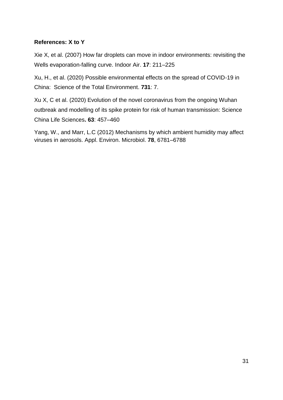#### **References: X to Y**

Xie X, et al. (2007) How far droplets can move in indoor environments: revisiting the Wells evaporation-falling curve. Indoor Air. **17**: 211–225

Xu, H., et al. (2020) Possible environmental effects on the spread of COVID-19 in China: Science of the Total Environment. **731**: 7.

Xu X, C et al. (2020) Evolution of the novel coronavirus from the ongoing Wuhan outbreak and modelling of its spike protein for risk of human transmission: Science China Life Sciences**. 63**: 457–460

Yang, W., and Marr, L.C (2012) Mechanisms by which ambient humidity may affect viruses in aerosols. Appl. Environ. Microbiol. **78**, 6781–6788